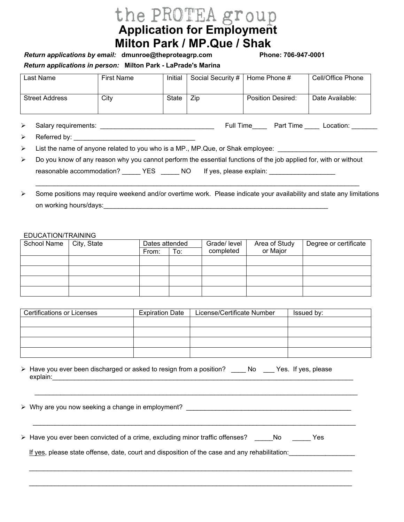# **Application for Employment Milton Park / MP.Que / Shak**

**Return applications in person: Milton Park - LaPrade's Marina** *Return applications by email: dmunroe@theproteagrp.com* 

 $36 - 947 - 0001$ 

| Last Name             | First Name | Initial | Social Security # | Home Phone #      | Cell/Office Phone |
|-----------------------|------------|---------|-------------------|-------------------|-------------------|
| <b>Street Address</b> | City       | State   | Zip               | Position Desired: | Date Available:   |
|                       |            |         |                   |                   |                   |

¾ Salary requirements: \_\_\_\_\_\_\_\_\_\_\_\_\_\_\_\_\_\_\_\_\_\_\_\_\_\_\_\_\_\_\_ Full Time\_\_\_\_ Part Time \_\_\_\_ /RFDWLRQ BBBBBBB

¾ Referred by: \_\_\_\_\_\_\_\_\_\_\_\_\_\_\_\_\_\_\_\_\_\_\_\_\_\_\_\_\_\_\_\_\_

→ List the name of anyone related to you who is a MP., MP.Que, or Shak employee: \_\_\_\_\_\_\_\_\_\_\_\_\_\_\_\_\_\_\_\_\_\_\_\_\_\_\_\_\_

| Do you know of any reason why you cannot perform the essential functions of the job applied for, with or without |      |     |                         |  |
|------------------------------------------------------------------------------------------------------------------|------|-----|-------------------------|--|
| reasonable accommodation?                                                                                        | YES. | NO. | If yes, please explain: |  |

 $\triangleright$  Some positions may require weekend and/or overtime work. Please indicate your availability and state any limitations on working hours/days:

 $\_$  , and the set of the set of the set of the set of the set of the set of the set of the set of the set of the set of the set of the set of the set of the set of the set of the set of the set of the set of the set of th

#### EDUCATION/TRAINING

| School Name | City, State | Dates attended |     | Grade/ level | Area of Study | Degree or certificate |
|-------------|-------------|----------------|-----|--------------|---------------|-----------------------|
|             |             | From:          | To: | completed    | or Major      |                       |
|             |             |                |     |              |               |                       |
|             |             |                |     |              |               |                       |
|             |             |                |     |              |               |                       |
|             |             |                |     |              |               |                       |

| <b>Certifications or Licenses</b> | <b>Expiration Date</b> | License/Certificate Number | Issued by: |
|-----------------------------------|------------------------|----------------------------|------------|
|                                   |                        |                            |            |
|                                   |                        |                            |            |
|                                   |                        |                            |            |
|                                   |                        |                            |            |

\_\_\_\_\_\_\_\_\_\_\_\_\_\_\_\_\_\_\_\_\_\_\_\_\_\_\_\_\_\_\_\_\_\_\_\_\_\_\_\_\_\_\_\_\_\_\_\_\_\_\_\_\_\_\_\_\_\_\_\_\_\_\_\_\_\_\_\_\_\_\_\_\_\_\_\_\_\_\_\_\_\_\_\_\_\_\_\_

\_\_\_\_\_\_\_\_\_\_\_\_\_\_\_\_\_\_\_\_\_\_\_\_\_\_\_\_\_\_\_\_\_\_\_\_\_\_\_\_\_\_\_\_\_\_\_\_\_\_\_\_\_\_\_\_\_\_\_\_\_\_\_\_\_\_\_\_\_\_\_\_\_\_\_\_\_\_\_\_\_\_\_\_\_\_\_\_

 $\mathcal{L}_\mathcal{L} = \{ \mathcal{L}_\mathcal{L} = \{ \mathcal{L}_\mathcal{L} = \{ \mathcal{L}_\mathcal{L} = \{ \mathcal{L}_\mathcal{L} = \{ \mathcal{L}_\mathcal{L} = \{ \mathcal{L}_\mathcal{L} = \{ \mathcal{L}_\mathcal{L} = \{ \mathcal{L}_\mathcal{L} = \{ \mathcal{L}_\mathcal{L} = \{ \mathcal{L}_\mathcal{L} = \{ \mathcal{L}_\mathcal{L} = \{ \mathcal{L}_\mathcal{L} = \{ \mathcal{L}_\mathcal{L} = \{ \mathcal{L}_\mathcal{$ 

 $\mathcal{L}_\text{max}$  , and the contribution of the contribution of the contribution of the contribution of the contribution of the contribution of the contribution of the contribution of the contribution of the contribution of t

¾ Have you ever been discharged or asked to resign from a position? \_\_\_\_ No \_\_\_ Yes. If yes, please explain:\_\_\_\_\_\_\_\_\_\_\_\_\_\_\_\_\_\_\_\_\_\_\_\_\_\_\_\_\_\_\_\_\_\_\_\_\_\_\_\_\_\_\_\_\_\_\_\_\_\_\_\_\_\_\_\_\_\_\_\_\_\_\_\_\_\_\_\_\_\_\_\_\_\_\_\_\_\_\_\_\_\_

► Why are you now seeking a change in employment? **With any settlem with a** settlem with a settlem with a settlem with a settlem with a settlem with a settlem with a settlem with a settlem with a settlem with a settlem wi

▶ Have you ever been convicted of a crime, excluding minor traffic offenses? No Yes

If yes, please state offense, date, court and disposition of the case and any rehabilitation: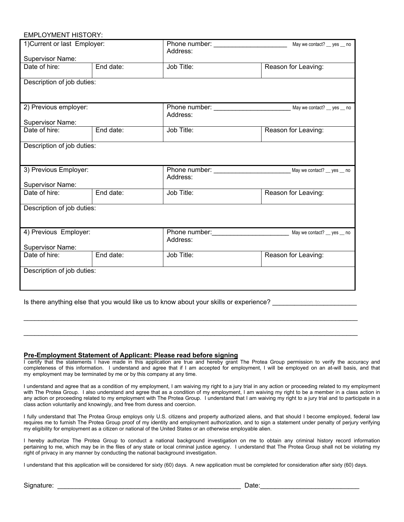#### EMPLOYMENT HISTORY:

| 1) Current or last Employer:              |           | Address:   | May we contact? __ yes __ no |
|-------------------------------------------|-----------|------------|------------------------------|
| <b>Supervisor Name:</b>                   |           |            |                              |
| Date of hire:                             | End date: | Job Title: | Reason for Leaving:          |
| Description of job duties:                |           |            |                              |
| 2) Previous employer:                     |           | Address:   | May we contact? __ yes __ no |
| Supervisor Name:                          |           |            |                              |
| Date of hire:                             | End date: | Job Title: | Reason for Leaving:          |
| Description of job duties:                |           |            |                              |
| 3) Previous Employer:<br>Supervisor Name: |           | Address:   |                              |
| Date of hire:                             | End date: | Job Title: | Reason for Leaving:          |
|                                           |           |            |                              |
| Description of job duties:                |           |            |                              |
| 4) Previous Employer:                     |           | Address:   | May we contact? __ yes __ no |
| Supervisor Name:                          |           |            |                              |
| Date of hire:                             | End date: | Job Title: | Reason for Leaving:          |
| Description of job duties:                |           |            |                              |

Is there anything else that you would like us to know about your skills or experience?

### **Pre-Employment Statement of Applicant: Please read before signing**

I certify that the statements I have made in this application are true and hereby grant The Protea Group permission to verify the accuracy and completeness of this information. I understand and agree that if I am accepted for employment, I will be employed on an at-will basis, and that my employment may be terminated by me or by this company at any time.

 $\mathcal{L}_\mathcal{L} = \{ \mathcal{L}_\mathcal{L} = \{ \mathcal{L}_\mathcal{L} = \{ \mathcal{L}_\mathcal{L} = \{ \mathcal{L}_\mathcal{L} = \{ \mathcal{L}_\mathcal{L} = \{ \mathcal{L}_\mathcal{L} = \{ \mathcal{L}_\mathcal{L} = \{ \mathcal{L}_\mathcal{L} = \{ \mathcal{L}_\mathcal{L} = \{ \mathcal{L}_\mathcal{L} = \{ \mathcal{L}_\mathcal{L} = \{ \mathcal{L}_\mathcal{L} = \{ \mathcal{L}_\mathcal{L} = \{ \mathcal{L}_\mathcal{$ 

 $\mathcal{L}_\mathcal{L} = \{ \mathcal{L}_\mathcal{L} = \{ \mathcal{L}_\mathcal{L} = \{ \mathcal{L}_\mathcal{L} = \{ \mathcal{L}_\mathcal{L} = \{ \mathcal{L}_\mathcal{L} = \{ \mathcal{L}_\mathcal{L} = \{ \mathcal{L}_\mathcal{L} = \{ \mathcal{L}_\mathcal{L} = \{ \mathcal{L}_\mathcal{L} = \{ \mathcal{L}_\mathcal{L} = \{ \mathcal{L}_\mathcal{L} = \{ \mathcal{L}_\mathcal{L} = \{ \mathcal{L}_\mathcal{L} = \{ \mathcal{L}_\mathcal{$ 

I understand and agree that as a condition of my employment, I am waiving my right to a jury trial in any action or proceeding related to my employment with The Protea Group. I also understand and agree that as a condition of my employment, I am waiving my right to be a member in a class action in any action or proceeding related to my employment with The Protea Group. I understand that I am waiving my right to a jury trial and to participate in a class action voluntarily and knowingly, and free from duress and coercion.

I fully understand that The Protea Group employs only U.S. citizens and property authorized aliens, and that should I become employed, federal law requires me to furnish The Protea Group proof of my identity and employment authorization, and to sign a statement under penalty of perjury verifying my eligibility for employment as a citizen or national of the United States or an otherwise employable alien.

I hereby authorize The Protea Group to conduct a national background investigation on me to obtain any criminal history record information pertaining to me, which may be in the files of any state or local criminal justice agency. I understand that The Protea Group shall not be violating my right of privacy in any manner by conducting the national background investigation.

I understand that this application will be considered for sixty (60) days. A new application must be completed for consideration after sixty (60) days.

|  | Signature: |  |
|--|------------|--|
|  |            |  |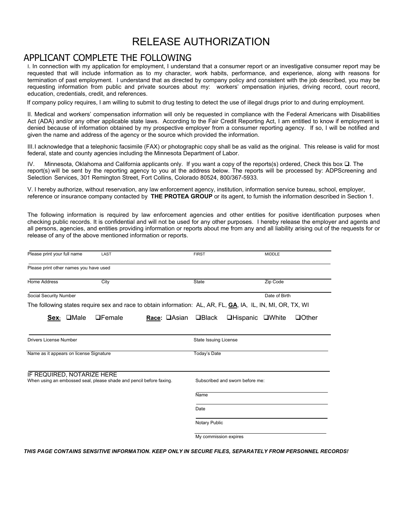# RELEASE AUTHORIZATION

## APPLICANT COMPLETE THE FOLLOWING

I. In connection with my application for employment, I understand that a consumer report or an investigative consumer report may be requested that will include information as to my character, work habits, performance, and experience, along with reasons for termination of past employment. I understand that as directed by company policy and consistent with the job described, you may be requesting information from public and private sources about my: workers' ompensation injuries, driving record, court record, education, credentials, credit, and references.

If company policy requires, I am willing to submit to drug testing to detect the use of illegal drugs prior to and during employment.

II. Medical and workers' compensation information will only be requested in compliance with the Federal Americans with Disabilities Act (ADA) and/or any other applicable state laws. According to the Fair Credit Reporting Act, I am entitled to know if employment is denied because of information obtained by my prospective employer from a consumer reporting agency. If so, I will be notified and given the name and address of the agency or the source which provided the information.

III.I acknowledge that a telephonic facsimile (FAX) or photographic copy shall be as valid as the original. This release is valid for most federal, state and county agencies including the Minnesota Department of Labor.

IV. Minnesota, Oklahoma and California applicants only. If you want a copy of the reports(s) ordered, Check this box  $\Box$ . The report(s) will be sent by the reporting agency to you at the address below. The reports will be processed by: ADPScreening and Selection Services, 301 Remington Street, Fort Collins, Colorado 80524, 800/367-5933.

9 I hereby authorize, without reservation, any law enforcement agency, institution, information service bureau, school, employer, reference or insurance company contacted by **THE PROTEA GROUP** or its agent, to furnish the information described in Section 1.

The following information is required by law enforcement agencies and other entities for positive identification purposes when checking public records. It is confidential and will not be used for any other purposes. I hereby release the employer and agents and all persons, agencies, and entities providing information or reports about me from any and all liability arising out of the requests for or release of any of the above mentioned information or reports.

| Please print your full name                                                                       | LAST          |                          | <b>FIRST</b>          | <b>MIDDLE</b>                                                                                               |  |  |  |
|---------------------------------------------------------------------------------------------------|---------------|--------------------------|-----------------------|-------------------------------------------------------------------------------------------------------------|--|--|--|
| Please print other names you have used                                                            |               |                          |                       |                                                                                                             |  |  |  |
| <b>Home Address</b>                                                                               | City          |                          | <b>State</b>          | Zip Code                                                                                                    |  |  |  |
| Social Security Number                                                                            |               |                          | Date of Birth         |                                                                                                             |  |  |  |
|                                                                                                   |               |                          |                       | The following states require sex and race to obtain information: AL, AR, FL, GA, IA, IL, IN, MI, OR, TX, WI |  |  |  |
| Sex: OMale                                                                                        | $\Box$ Female | Race: <b>Asian Black</b> |                       | □Hispanic □White<br><b>Other</b>                                                                            |  |  |  |
| <b>Drivers License Number</b>                                                                     |               |                          | State Issuing License |                                                                                                             |  |  |  |
| Name as it appears on license Signature                                                           |               |                          | <b>Today's Date</b>   |                                                                                                             |  |  |  |
| IF REQUIRED, NOTARIZE HERE<br>When using an embossed seal, please shade and pencil before faxing. |               |                          |                       | Subscribed and sworn before me:                                                                             |  |  |  |
|                                                                                                   |               |                          | Name                  |                                                                                                             |  |  |  |
|                                                                                                   |               |                          | Date                  |                                                                                                             |  |  |  |
|                                                                                                   |               |                          | <b>Notary Public</b>  |                                                                                                             |  |  |  |
|                                                                                                   |               |                          | My commission expires |                                                                                                             |  |  |  |

*THIS PAGE CONTAINS SENSITIVE INFORMATION. KEEP ONLY IN SECURE FILES, SEPARATELY FROM PERSONNEL RECORDS!*